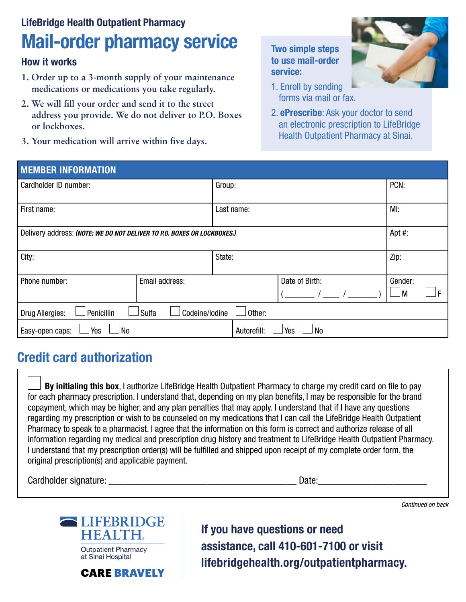# LifeBridge Health Outpatient Pharmacy Mail-order pharmacy service Two simple steps

#### How it works

- **1. Order up to a 3-month supply of your maintenance medications or medications you take regularly.**
- **2. We will fill your order and send it to the street address you provide. We do not deliver to P.O. Boxes or lockboxes.**
- **3. Your medication will arrive within five days.**

# to use mail-order service:



- 1. Enroll by sending forms via mail or fax.
- 2. ePrescribe: Ask your doctor to send an electronic prescription to LifeBridge Health Outpatient Pharmacy at Sinai.

| <b>MEMBER INFORMATION</b>                                               |                |             |                  |      |         |    |  |
|-------------------------------------------------------------------------|----------------|-------------|------------------|------|---------|----|--|
| Cardholder ID number:                                                   |                | Group:      |                  |      | PCN:    |    |  |
| First name:                                                             |                | Last name:  |                  | MI:  |         |    |  |
| Delivery address: (NOTE: WE DO NOT DELIVER TO P.O. BOXES OR LOCKBOXES.) |                |             |                  |      | Apt #:  |    |  |
| City:                                                                   |                | State:      |                  | Zip: |         |    |  |
| Phone number:                                                           | Email address: |             | Date of Birth:   |      | Gender: |    |  |
|                                                                         |                |             |                  |      | M       | IF |  |
| Codeine/lodine<br>Penicillin<br>Sulfa<br>Other:<br>Drug Allergies:      |                |             |                  |      |         |    |  |
| Yes<br>No<br>Easy-open caps:                                            |                | Autorefill: | Yes<br><b>No</b> |      |         |    |  |

### Credit card authorization

By initialing this box, I authorize LifeBridge Health Outpatient Pharmacy to charge my credit card on file to pay for each pharmacy prescription. I understand that, depending on my plan benefits, I may be responsible for the brand copayment, which may be higher, and any plan penalties that may apply. I understand that if I have any questions regarding my prescription or wish to be counseled on my medications that I can call the LifeBridge Health Outpatient Pharmacy to speak to a pharmacist. I agree that the information on this form is correct and authorize release of all information regarding my medical and prescription drug history and treatment to LifeBridge Health Outpatient Pharmacy. I understand that my prescription order(s) will be fulfilled and shipped upon receipt of my complete order form, the original prescription(s) and applicable payment.

Cardholder signature: \_\_\_\_\_\_\_\_\_\_\_\_\_\_\_\_\_\_\_\_\_\_\_\_\_\_\_\_\_\_\_\_\_\_\_\_\_\_ Date:\_\_\_\_\_\_\_\_\_\_\_\_\_\_\_\_\_\_\_\_\_\_

*Continued on back*



**CARE BRAVELY** 

If you have questions or need assistance, call 410-601-7100 or visit lifebridgehealth.org/outpatientpharmacy.